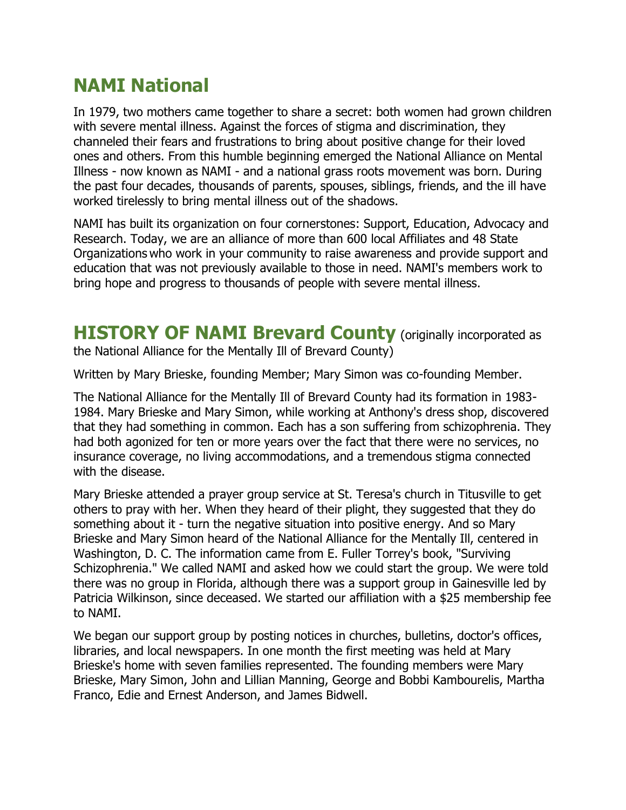## **NAMI National**

In 1979, two mothers came together to share a secret: both women had grown children with severe mental illness. Against the forces of stigma and discrimination, they channeled their fears and frustrations to bring about positive change for their loved ones and others. From this humble beginning emerged the National Alliance on Mental Illness - now known as NAMI - and a national grass roots movement was born. During the past four decades, thousands of parents, spouses, siblings, friends, and the ill have worked tirelessly to bring mental illness out of the shadows.

NAMI has built its organization on four cornerstones: Support, Education, Advocacy and Research. Today, we are an alliance of more than 600 local Affiliates and 48 State Organizations who work in your community to raise awareness and provide support and education that was not previously available to those in need. NAMI's members work to bring hope and progress to thousands of people with severe mental illness.

## **HISTORY OF NAMI Brevard County (originally incorporated as**

the National Alliance for the Mentally Ill of Brevard County)

Written by Mary Brieske, founding Member; Mary Simon was co-founding Member.

The National Alliance for the Mentally Ill of Brevard County had its formation in 1983- 1984. Mary Brieske and Mary Simon, while working at Anthony's dress shop, discovered that they had something in common. Each has a son suffering from schizophrenia. They had both agonized for ten or more years over the fact that there were no services, no insurance coverage, no living accommodations, and a tremendous stigma connected with the disease.

Mary Brieske attended a prayer group service at St. Teresa's church in Titusville to get others to pray with her. When they heard of their plight, they suggested that they do something about it - turn the negative situation into positive energy. And so Mary Brieske and Mary Simon heard of the National Alliance for the Mentally Ill, centered in Washington, D. C. The information came from E. Fuller Torrey's book, "Surviving Schizophrenia." We called NAMI and asked how we could start the group. We were told there was no group in Florida, although there was a support group in Gainesville led by Patricia Wilkinson, since deceased. We started our affiliation with a \$25 membership fee to NAMI.

We began our support group by posting notices in churches, bulletins, doctor's offices, libraries, and local newspapers. In one month the first meeting was held at Mary Brieske's home with seven families represented. The founding members were Mary Brieske, Mary Simon, John and Lillian Manning, George and Bobbi Kambourelis, Martha Franco, Edie and Ernest Anderson, and James Bidwell.